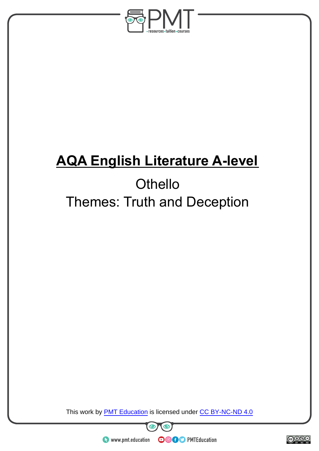

# **AQA English Literature A-level**

# **Othello** Themes: Truth and Deception

This work by **PMT Education** is licensed under CC BY-NC-ND 4.0





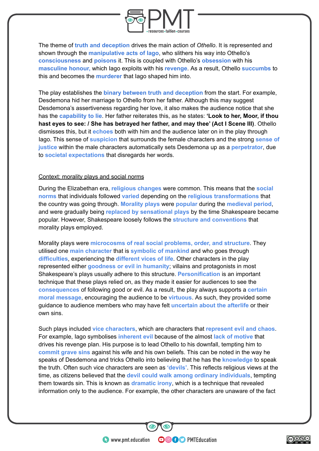

The theme of **truth and deception** drives the main action of *Othello*. It is represented and shown through the **manipulative acts of Iago**, who slithers his way into Othello's **consciousness** and **poisons** it. This is coupled with Othello's **obsession** with his **masculine honour,** which Iago exploits with his **revenge**. As a result, Othello **succumbs** to this and becomes the **murderer** that Iago shaped him into.

The play establishes the **binary between truth and deception** from the start. For example, Desdemona hid her marriage to Othello from her father. Although this may suggest Desdemona's assertiveness regarding her love, it also makes the audience notice that she has the **capability to lie**. Her father reiterates this, as he states: **'Look to her, Moor, if thou hast eyes to see: / She has betrayed her father, and may thee' (Act I Scene III)**. Othello dismisses this, but it **echoes** both with him and the audience later on in the play through Iago. This sense of **suspicion** that surrounds the female characters and the strong **sense of justice** within the male characters automatically sets Desdemona up as a **perpetrator**, due to **societal expectations** that disregards her words.

#### Context: morality plays and social norms

During the Elizabethan era, **religious changes** were common. This means that the **social norms** that individuals followed **varied** depending on the **religious transformations** that the country was going through. **Morality plays** were **popular** during the **medieval period**, and were gradually being **replaced by sensational plays** by the time Shakespeare became popular. However, Shakespeare loosely follows the **structure and conventions** that morality plays employed.

Morality plays were **microcosms of real social problems, order, and structure**. They utilised one **main character** that is **symbolic of mankind** and who goes through **difficulties**, experiencing the **different vices of life**. Other characters in the play represented either **goodness or evil in humanity**; villains and protagonists in most Shakespeare's plays usually adhere to this structure. **Personification** is an important technique that these plays relied on, as they made it easier for audiences to see the **consequences** of following good or evil. As a result, the play always supports a **certain moral message**, encouraging the audience to be **virtuous**. As such, they provided some guidance to audience members who may have felt **uncertain about the afterlife** or their own sins.

Such plays included **vice characters**, which are characters that **represent evil and chaos**. For example, Iago symbolises **inherent evil** because of the almost **lack of motive** that drives his revenge plan. His purpose is to lead Othello to his downfall, tempting him to **commit grave sins** against his wife and his own beliefs. This can be noted in the way he speaks of Desdemona and tricks Othello into believing that he has the **knowledge** to speak the truth. Often such vice characters are seen as **'devils'**. This reflects religious views at the time, as citizens believed that the **devil could walk among ordinary individuals**, tempting them towards sin. This is known as **dramatic irony**, which is a technique that revealed information only to the audience. For example, the other characters are unaware of the fact

**OOOO** PMTEducation

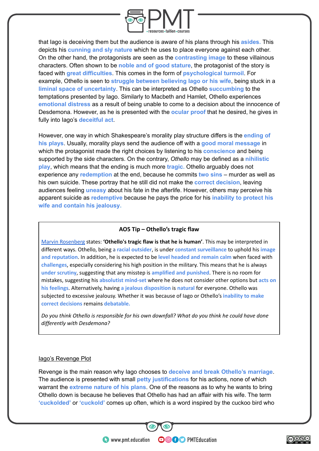

that Iago is deceiving them but the audience is aware of his plans through his **asides.** This depicts his **cunning and sly nature** which he uses to place everyone against each other. On the other hand, the protagonists are seen as the **contrasting image** to these villainous characters. Often shown to be **noble and of good stature**, the protagonist of the story is faced with **great difficulties**. This comes in the form of **psychological turmoil**. For example, Othello is seen to **struggle between believing Iago or his wife**, being stuck in a **liminal space of uncertainty**. This can be interpreted as Othello **succumbing** to the temptations presented by Iago. Similarly to Macbeth and Hamlet, Othello experiences **emotional distress** as a result of being unable to come to a decision about the innocence of Desdemona. However, as he is presented with the **ocular proof** that he desired, he gives in fully into Iago's **deceitful act**.

However, one way in which Shakespeare's morality play structure differs is the **ending of his plays**. Usually, morality plays send the audience off with a **good moral message** in which the protagonist made the right choices by listening to his **conscience** and being supported by the side characters. On the contrary, *Othello* may be defined as a **nihilistic play**, which means that the ending is much more **tragic.** Othello arguably does not experience any **redemption** at the end, because he commits **two sins** – murder as well as his own suicide. These portray that he still did not make the **correct decision**, leaving audiences feeling **uneasy** about his fate in the afterlife. However, others may perceive his apparent suicide as **redemptive** because he pays the price for his **inability to protect his wife and contain his jealousy.**

#### **AO5 Tip – Othello's tragic flaw**

[Marvin Rosenberg](https://doi.org/10.2307/2868284) states: **'Othello's tragic flaw is that he is human'**. This may be interpreted in different ways. Othello, being a **racial outsider**, is under **constant surveillance** to uphold his **image and reputation**. In addition, he is expected to be **level headed and remain calm** when faced with **challenges**, especially considering his high position in the military. This means that he is always **under scrutiny**, suggesting that any misstep is **amplified and punished**. There is no room for mistakes, suggesting his **absolutist mind-set** where he does not consider other options but **acts on his feelings**. Alternatively, having **a jealous disposition** is **natural** for everyone. Othello was subjected to excessive jealousy. Whether it was because of Iago or Othello's **inability to make correct decisions** remains **debatable.**

*Do you think Othello is responsible for his own downfall? What do you think he could have done differently with Desdemona?*

#### lago's Revenge Plot

Revenge is the main reason why Iago chooses to **deceive and break Othello's marriage**. The audience is presented with small **petty justifications** for his actions, none of which warrant the **extreme nature of his plans**. One of the reasons as to why he wants to bring Othello down is because he believes that Othello has had an affair with his wife. The term **'cuckolded'** or **'cuckold'** comes up often, which is a word inspired by the cuckoo bird who

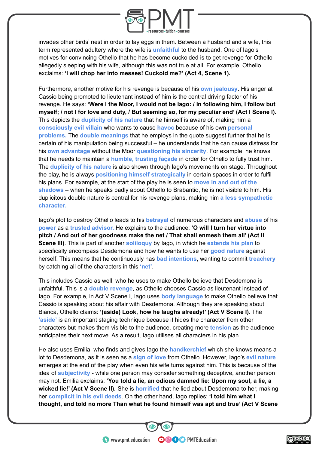

invades other birds' nest in order to lay eggs in them. Between a husband and a wife, this term represented adultery where the wife is **unfaithful** to the husband. One of Iago's motives for convincing Othello that he has become cuckolded is to get revenge for Othello allegedly sleeping with his wife, although this was not true at all. For example, Othello exclaims: **'I will chop her into messes! Cuckold me?' (Act 4, Scene 1).**

Furthermore, another motive for his revenge is because of his **own jealousy**. His anger at Cassio being promoted to lieutenant instead of him is the central driving factor of his revenge. He says: **'Were I the Moor, I would not be Iago: / In following him, I follow but myself; / not I for love and duty, / But seeming so, for my peculiar end' (Act I Scene I).** This depicts the **duplicity of his nature** that he himself is aware of, making him a **consciously evil villain** who wants to cause **havoc** because of his own **personal problems.** The **double meanings** that he employs in the quote suggest further that he is certain of his manipulation being successful – he understands that he can cause distress for his **own advantage** without the Moor **questioning his sincerity**. For example, he knows that he needs to maintain a **humble, trusting façade** in order for Othello to fully trust him. The **duplicity of his nature** is also shown through Iago's movements on stage. Throughout the play, he is always **positioning himself strategically** in certain spaces in order to fulfil his plans. For example, at the start of the play he is seen to **move in and out of the shadows** – when he speaks badly about Othello to Brabantio, he is not visible to him. His duplicitous double nature is central for his revenge plans, making him **a less sympathetic character.**

Iago's plot to destroy Othello leads to his **betrayal** of numerous characters and **abuse** of his **power** as a **trusted advisor.** He explains to the audience: **'O will I turn her virtue into pitch / And out of her goodness make the net / That shall enmesh them all' (Act II Scene III)**. This is part of another **soliloquy** by Iago, in which he **extends his plan** to specifically encompass Desdemona and how he wants to use her **good nature** against herself. This means that he continuously has **bad intentions**, wanting to commit **treachery** by catching all of the characters in this **'net'**.

This includes Cassio as well, who he uses to make Othello believe that Desdemona is unfaithful. This is a **double revenge**, as Othello chooses Cassio as lieutenant instead of Iago. For example, in Act V Scene I, Iago uses **body language** to make Othello believe that Cassio is speaking about his affair with Desdemona. Although they are speaking about Bianca, Othello claims: **'(aside) Look, how he laughs already!' (Act V Scene I)**. The **'aside'** is an important staging technique because it hides the character from other characters but makes them visible to the audience, creating more **tension** as the audience anticipates their next move. As a result, Iago utilises all characters in his plan.

He also uses Emilia, who finds and gives Iago the **handkerchief** which she knows means a lot to Desdemona, as it is seen as a **sign of love** from Othello. However, Iago's **evil nature** emerges at the end of the play when even his wife turns against him. This is because of the idea of **subjectivity** - while one person may consider something deceptive, another person may not. Emilia exclaims: **'You told a lie, an odious damned lie: Upon my soul, a lie, a wicked lie!' (Act V Scene II).** She is **horrified** that he lied about Desdemona to her, making her **complicit in his evil deeds**. On the other hand, Iago replies: **'I told him what I thought, and told no more Than what he found himself was apt and true' (Act V Scene**

**OOOO** PMTEducation

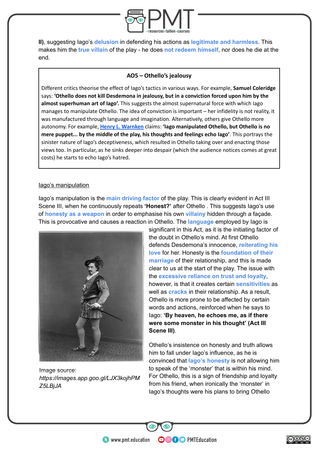

**II)**, suggesting Iago's **delusion** in defending his actions as **legitimate and harmless**. This makes him the **true villain** of the play - he does **not redeem himself**, nor does he die at the end.

# **AO5 – Othello's jealousy**

Different critics theorise the effect of Iago's tactics in various ways. For example, **Samuel Coleridge** says: **'Othello does not kill Desdemona in jealousy, but in a conviction forced upon him by the almost superhuman art of Iago'.** This suggests the almost supernatural force with which Iago manages to manipulate Othello. The idea of conviction is important – her infidelity is not reality, it was manufactured through language and imagination. Alternatively, others give Othello more autonomy. For example, **[Henry L. Warnken](https://nanopdf.com/download/iago-as-a-projection-of-othello_pdf)** claims: **'Iago manipulated Othello, but Othello is no mere puppet... by the middle of the play, his thoughts and feelings echo Iago'**. This portrays the sinister nature of Iago's deceptiveness, which resulted in Othello taking over and enacting those views too. In particular, as he sinks deeper into despair (which the audience notices comes at great costs) he starts to echo Iago's hatred.

#### Iago's manipulation

Iago's manipulation is the **main driving factor** of the play. This is clearly evident in Act III Scene III, when he continuously repeats **'Honest?'** after Othello . This suggests Iago's use of **honesty as a weapon** in order to emphasise his own **villainy** hidden through a façade. This is provocative and causes a reaction in Othello. The **language** employed by Iago is



Image source: *[https://images.app.goo.gl/LJX3kojhPM](https://images.app.goo.gl/LJX3kojhPMZ5LBjJA) [Z5LBjJA](https://images.app.goo.gl/LJX3kojhPMZ5LBjJA)*

significant in this Act, as it is the initiating factor of the doubt in Othello's mind. At first Othello defends Desdemona's innocence, **reiterating his love** for her. Honesty is the **foundation of their marriage** of their relationship, and this is made clear to us at the start of the play. The issue with the **excessive reliance on trust and loyalty**, however, is that it creates certain **sensitivities** as well as **cracks** in their relationship. As a result, Othello is more prone to be affected by certain words and actions, reinforced when he says to Iago: **'By heaven, he echoes me, as if there were some monster in his thought' (Act III Scene III)**.

Othello's insistence on honesty and truth allows him to fall under Iago's influence, as he is convinced that **Iago's honesty** is not allowing him to speak of the 'monster' that is within his mind. For Othello, this is a sign of friendship and loyalty from his friend, when ironically the 'monster' in Iago's thoughts were his plans to bring Othello

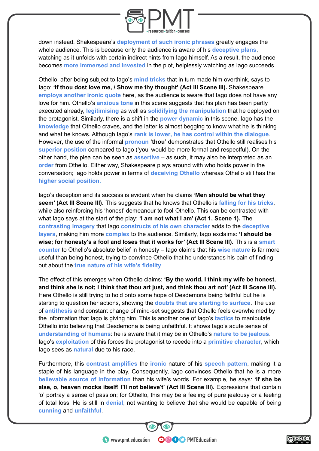

down instead. Shakespeare's **deployment of such ironic phrases** greatly engages the whole audience. This is because only the audience is aware of his **deceptive plans**, watching as it unfolds with certain indirect hints from Iago himself. As a result, the audience becomes **more immersed and invested** in the plot, helplessly watching as Iago succeeds.

Othello, after being subject to Iago's **mind tricks** that in turn made him overthink, says to Iago: **'If thou dost love me, / Show me thy thought' (Act III Scene III).** Shakespeare **employs another ironic quote** here, as the audience is aware that Iago does not have any love for him. Othello's **anxious tone** in this scene suggests that his plan has been partly executed already, **legitimising** as well as **solidifying the manipulation** that he deployed on the protagonist. Similarly, there is a shift in the **power dynamic** in this scene. Iago has the **knowledge** that Othello craves, and the latter is almost begging to know what he is thinking and what he knows. Although Iago's **rank is lower, he has control within the dialogue**. However, the use of the informal **pronoun 'thou'** demonstrates that Othello still realises his **superior position** compared to Iago ('you' would be more formal and respectful). On the other hand, the plea can be seen as **assertive** – as such, it may also be interpreted as an **order** from Othello. Either way, Shakespeare plays around with who holds power in the conversation; Iago holds power in terms of **deceiving Othello** whereas Othello still has the **higher social position.**

Iago's deception and its success is evident when he claims **'Men should be what they seem' (Act III Scene III).** This suggests that he knows that Othello is **falling for his tricks**, while also reinforcing his 'honest' demeanour to fool Othello. This can be contrasted with what Iago says at the start of the play: **'I am not what I am' (Act 1, Scene 1).** The **contrasting imagery** that Iago **constructs of his own character** adds to the **deceptive layers**, making him more **complex** to the audience. Similarly, Iago exclaims: **'I should be wise; for honesty's a fool and loses that it works for' (Act III Scene III).** This is a **smart counter** to Othello's absolute belief in honesty – Iago claims that his **wise nature** is far more useful than being honest, trying to convince Othello that he understands his pain of finding out about the **true nature of his wife's fidelity**.

The effect of this emerges when Othello claims: **'By the world, I think my wife be honest, and think she is not; I think that thou art just, and think thou art not' (Act III Scene III).** Here Othello is still trying to hold onto some hope of Desdemona being faithful but he is starting to question her actions, showing the **doubts that are starting to surface**. The use of **antithesis** and constant change of mind-set suggests that Othello feels overwhelmed by the information that Iago is giving him. This is another one of Iago's **tactics** to manipulate Othello into believing that Desdemona is being unfaithful. It shows Iago's acute sense of **understanding of humans**: he is aware that it may be in Othello's **nature to be jealous**. Iago's **exploitation** of this forces the protagonist to recede into a **primitive character**, which Iago sees as **natural** due to his race.

Furthermore, this **contrast amplifies** the **ironic** nature of his **speech pattern**, making it a staple of his language in the play. Consequently, Iago convinces Othello that he is a more **believable source of information** than his wife's words. For example, he says: **'if she be** alse, o, heaven mocks itself! I'll not believe't' (Act III Scene III). Expressions that contain 'o' portray a sense of passion; for Othello, this may be a feeling of pure jealousy or a feeling of total loss. He is still in **denial**, not wanting to believe that she would be capable of being **cunning** and **unfaithful**.

**OOOO** PMTEducation

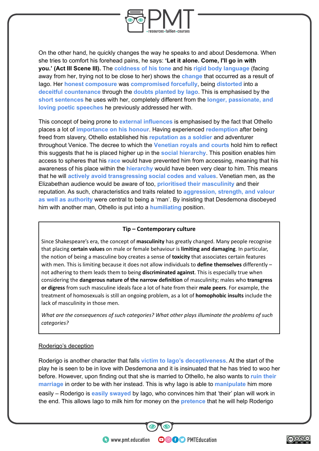

On the other hand, he quickly changes the way he speaks to and about Desdemona. When she tries to comfort his forehead pains, he says: **'Let it alone. Come, I'll go in with you.' (Act III Scene III).** The **coldness of his tone** and his **rigid body language** (facing away from her, trying not to be close to her) shows the **change** that occurred as a result of Iago. Her **honest composure** was **compromised forcefully**, being **distorted** into a **deceitful countenance** through the **doubts planted by Iago**. This is emphasised by the **short sentences** he uses with her, completely different from the **longer, passionate, and loving poetic speeches** he previously addressed her with.

This concept of being prone to **external influences** is emphasised by the fact that Othello places a lot of **importance on his honour**. Having experienced **redemption** after being freed from slavery, Othello established his **reputation as a soldier** and adventurer throughout Venice. The decree to which the **Venetian royals and courts** hold him to reflect this suggests that he is placed higher up in the **social hierarchy**. This position enables him access to spheres that his **race** would have prevented him from accessing, meaning that his awareness of his place within the **hierarchy** would have been very clear to him. This means that he will **actively avoid transgressing social codes and values**. Venetian men, as the Elizabethan audience would be aware of too, **prioritised their masculinity** and their reputation. As such, characteristics and traits related to **aggression, strength, and valour as well as authority** were central to being a 'man'. By insisting that Desdemona disobeyed him with another man, Othello is put into a **humiliating** position.

#### **Tip – Contemporary culture**

Since Shakespeare's era, the concept of **masculinity** has greatly changed. Many people recognise that placing **certain values** on male or female behaviour is **limiting and damaging**. In particular, the notion of being a masculine boy creates a sense of **toxicity** that associates certain features with men. This is limiting because it does not allow individuals to **define themselves** differently – not adhering to them leads them to being **discriminated against**. This is especially true when considering the **dangerous nature of the narrow definition** of masculinity; males who **transgress or digress** from such masculine ideals face a lot of hate from their **male peers**. For example, the treatment of homosexuals is still an ongoing problem, as a lot of **homophobic insults** include the lack of masculinity in those men.

*What are the consequences of such categories? What other plays illuminate the problems of such categories?*

#### Roderigo's deception

Roderigo is another character that falls **victim to Iago's deceptiveness**. At the start of the play he is seen to be in love with Desdemona and it is insinuated that he has tried to woo her before. However, upon finding out that she is married to Othello, he also wants to **ruin their marriage** in order to be with her instead. This is why Iago is able to **manipulate** him more easily – Roderigo is **easily swayed** by Iago, who convinces him that 'their' plan will work in the end. This allows Iago to milk him for money on the **pretence** that he will help Roderigo

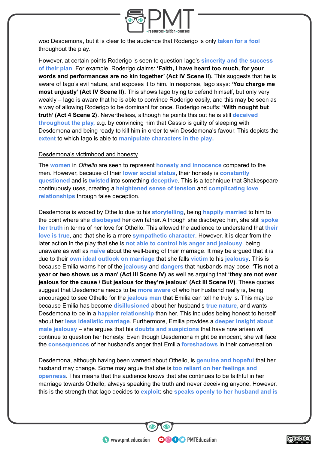

woo Desdemona, but it is clear to the audience that Roderigo is only **taken for a fool** throughout the play.

However, at certain points Roderigo is seen to question Iago's **sincerity and the success of their plan**. For example, Roderigo claims: **'Faith, I have heard too much, for your words and performances are no kin together' (Act IV Scene II).** This suggests that he is aware of Iago's evil nature, and exposes it to him. In response, Iago says: **'You charge me most unjustly' (Act IV Scene II).** This shows Iago trying to defend himself, but only very weakly – Iago is aware that he is able to convince Roderigo easily, and this may be seen as a way of allowing Roderigo to be dominant for once. Roderigo rebuffs: **'With nought but truth' (Act 4 Scene 2)**. Nevertheless, although he points this out he is still **deceived throughout the play,** e.g. by convincing him that Cassio is guilty of sleeping with Desdemona and being ready to kill him in order to win Desdemona's favour. This depicts the **extent** to which Iago is able to **manipulate characters in the play.**

#### Desdemona's victimhood and honesty

The **women** in *Othello* are seen to represent **honesty and innocence** compared to the men. However, because of their **lower social status**, their honesty is **constantly questioned** and is **twisted** into something **deceptive**. This is a technique that Shakespeare continuously uses, creating a **heightened sense of tension** and **complicating love relationships** through false deception.

Desdemona is wooed by Othello due to his **storytelling**, being **happily married** to him to the point where she **disobeyed** her own father. Although she disobeyed him, she still **spoke her truth** in terms of her love for Othello. This allowed the audience to understand that **their love is true**, and that she is a more **sympathetic character**. However, it is clear from the later action in the play that she is **not able to control his anger and jealousy**, being unaware as well as **naïve** about the well-being of their marriage. It may be argued that it is due to their **own ideal outlook on marriage** that she falls **victim** to his **jealousy**. This is because Emilia warns her of the **jealousy** and **dangers** that husbands may pose: **'Tis not a year or two shows us a man' (Act III Scene IV)** as well as arguing that **'they are not ever jealous for the cause / But jealous for they're jealous' (Act III Scene IV)**. These quotes suggest that Desdemona needs to be **more aware** of who her husband really is, being encouraged to see Othello for the **jealous man** that Emilia can tell he truly is. This may be because Emilia has become **disillusioned** about her husband's **true nature,** and wants Desdemona to be in a **happier relationship** than her. This includes being honest to herself about her **less idealistic marriage**. Furthermore, Emilia provides a **deeper insight about male jealousy** – she argues that his **doubts and suspicions** that have now arisen will continue to question her honesty. Even though Desdemona might be innocent, she will face the **consequences** of her husband's anger that Emilia **foreshadows** in their conversation.

Desdemona, although having been warned about Othello, is **genuine and hopeful** that her husband may change. Some may argue that she is **too reliant on her feelings and openness**. This means that the audience knows that she continues to be faithful in her marriage towards Othello, always speaking the truth and never deceiving anyone. However, this is the strength that Iago decides to **exploit**: she **speaks openly to her husband and is**

**OOOO** PMTEducation

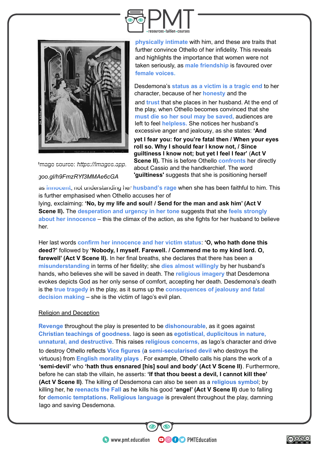



Image source: *https://images.app. goo.gl/h9FmzRYf3MMAe6cGA*

**physically intimate** with him, and these are traits that further convince Othello of her infidelity. This reveals and highlights the importance that women were not taken seriously, as **male friendship** is favoured over **female voices.**

Desdemona's **status as a victim is a tragic end** to her character, because of her **honesty** and the

and **trust** that she places in her husband. At the end of the play, when Othello becomes convinced that she **must die so her soul may be saved,** audiences are left to feel **helpless.** She notices her husband's excessive anger and jealousy, as she states: **'And**

**yet I fear you: for you're fatal then / When your eyes roll so. Why I should fear I know not, / Since guiltiness I know not; but yet I feel I fear'** (**Act V Scene II).** This is before Othello **confronts** her directly about Cassio and the handkerchief. The word **'guiltiness'** suggests that she is positioning herself

as **innocent**, not understanding her **husband's rage** when she has been faithful to him. This is further emphasised when Othello accuses her of

lying, exclaiming: **'No, by my life and soul! / Send for the man and ask him' (Act V Scene II).** The **desperation and urgency in her tone** suggests that she **feels strongly about her innocence** – this the climax of the action, as she fights for her husband to believe her.

Her last words **confirm her innocence and her victim status**: **'O, who hath done this deed?'** followed by **'Nobody, I myself. Farewell. / Commend me to my kind lord. O, farewell' (Act V Scene II).** In her final breaths, she declares that there has been a **misunderstanding** in terms of her fidelity; she **dies almost willingly** by her husband's hands, who believes she will be saved in death. The **religious imagery** that Desdemona evokes depicts God as her only sense of comfort, accepting her death. Desdemona's death is the **true tragedy** in the play, as it sums up the **consequences of jealousy and fatal decision making** – she is the victim of Iago's evil plan.

# Religion and Deception

**Revenge** throughout the play is presented to be **dishonourable**, as it goes against **Christian teachings of goodness**. Iago is seen as **egotistical, duplicitous in nature, unnatural, and destructive**. This raises **religious concerns,** as Iago's character and drive to destroy Othello reflects **Vice figures (**a **semi-secularised devil** who destroys the virtuous) from **English morality plays** . For example, Othello calls his plans the work of a **'semi-devil'** who **'hath thus ensnared [his] soul and body' (Act V Scene II)**. Furthermore, before he can stab the villain, he asserts: **'If that thou beest a devil, I cannot kill thee' (Act V Scene II)**. The killing of Desdemona can also be seen as a **religious symbol**; by killing her, he **reenacts the Fall** as he kills his good **'angel' (Act V Scene II)** due to falling for **demonic temptations**. **Religious language** is prevalent throughout the play, damning Iago and saving Desdemona.

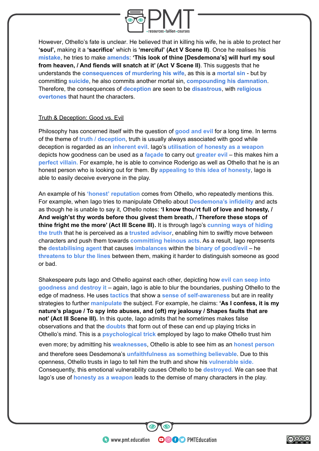

However, Othello's fate is unclear. He believed that in killing his wife, he is able to protect her **'soul',** making it a **'sacrifice'** which is **'merciful' (Act V Scene II)**. Once he realises his **mistake**, he tries to make **amends**: **'This look of thine [Desdemona's] will hurl my soul from heaven, / And fiends will snatch at it' (Act V Scene II)**. This suggests that he understands the **consequences of murdering his wife**, as this is a **mortal sin** - but by committing **suicide**, he also commits another mortal sin, **compounding his damnation**. Therefore, the consequences of **deception** are seen to be **disastrous**, with **religious overtones** that haunt the characters.

# Truth & Deception: Good vs. Evil

Philosophy has concerned itself with the question of **good and evil** for a long time. In terms of the theme of **truth / deception**, truth is usually always associated with good while deception is regarded as an **inherent evil**. Iago's **utilisation of honesty as a weapon** depicts how goodness can be used as a **façade** to carry out **greater evil** – this makes him a **perfect villain.** For example, he is able to convince Roderigo as well as Othello that he is an honest person who is looking out for them. By **appealing to this idea of honesty**, Iago is able to easily deceive everyone in the play.

An example of his **'honest' reputation** comes from Othello, who repeatedly mentions this. For example, when Iago tries to manipulate Othello about **Desdemona's infidelity** and acts as though he is unable to say it, Othello notes: **'I know thou'rt full of love and honesty, / And weigh'st thy words before thou givest them breath, / Therefore these stops of thine fright me the more' (Act III Scene III).** It is through Iago's **cunning ways of hiding the truth** that he is perceived as a **trusted advisor**, enabling him to swiftly move between characters and push them towards **committing heinous acts**. As a result, Iago represents the **destabilising agent** that causes **imbalances** within the **binary of good/evil** – he **threatens to blur the lines** between them, making it harder to distinguish someone as good or bad.

Shakespeare puts Iago and Othello against ea[ch other, depicting how](https://shakespeare-navigators.com/othello/T33.html#118) **evil can seep into goodness and destroy it** [– again, Iago is able to blur the boundaries, pushing Othello to](https://shakespeare-navigators.com/othello/T33.html#118) the [edge of madness. He uses](https://shakespeare-navigators.com/othello/T33.html#118) **tactics** that show a **sense of self-awareness** but are in reality strategies to further **manipulate** the subject. For example, he claims: **'As I confess, it is my nature's plague / To spy into abuses, and (oft) my jealousy / Shapes faults that are not' (Act III Scene III).** In this quote, Iago admits that he sometimes makes false observations and that the **doubts** that form out of these can end up playing tricks in Othello's mind. This is a **psychological trick** employed by Iago to make Othello trust him even more; by admitting his **weaknesses**, Othello is able to see him as an **honest person** and therefore sees Desdemona's **unfaithfulness as something believable**. Due to this openness, Othello trusts in Iago to tell him the truth and show his **vulnerable side.** Consequently, this emotional vulnerability causes Othello to be **destroyed.** We can see that Iago's use of **honesty as a weapon** leads to the demise of many characters in the play.

**OOOO** PMTEducation